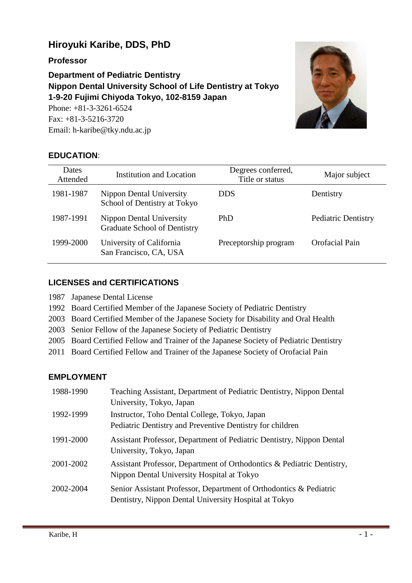# **Hiroyuki Karibe, DDS, PhD**

**Professor**

**Department of Pediatric Dentistry Nippon Dental University School of Life Dentistry at Tokyo 1-9-20 Fujimi Chiyoda Tokyo, 102-8159 Japan** Phone: +81-3-3261-6524

Fax: +81-3-5216-3720 Email: h-karibe@tky.ndu.ac.jp



## **EDUCATION**:

| Dates<br>Attended | <b>Institution and Location</b>                          | Degrees conferred,<br>Title or status | Major subject              |
|-------------------|----------------------------------------------------------|---------------------------------------|----------------------------|
| 1981-1987         | Nippon Dental University<br>School of Dentistry at Tokyo | <b>DDS</b>                            | Dentistry                  |
| 1987-1991         | Nippon Dental University<br>Graduate School of Dentistry | <b>PhD</b>                            | <b>Pediatric Dentistry</b> |
| 1999-2000         | University of California<br>San Francisco, CA, USA       | Preceptorship program                 | Orofacial Pain             |

## **LICENSES and CERTIFICATIONS**

- 1987 Japanese Dental License
- 1992 Board Certified Member of the Japanese Society of Pediatric Dentistry
- 2003 Board Certified Member of the Japanese Society for Disability and Oral Health
- 2003 Senior Fellow of the Japanese Society of Pediatric Dentistry
- 2005 Board Certified Fellow and Trainer of the Japanese Society of Pediatric Dentistry
- 2011 Board Certified Fellow and Trainer of the Japanese Society of Orofacial Pain

## **EMPLOYMENT**

| 1988-1990 | Teaching Assistant, Department of Pediatric Dentistry, Nippon Dental<br>University, Tokyo, Japan                            |
|-----------|-----------------------------------------------------------------------------------------------------------------------------|
| 1992-1999 | Instructor, Toho Dental College, Tokyo, Japan<br>Pediatric Dentistry and Preventive Dentistry for children                  |
| 1991-2000 | Assistant Professor, Department of Pediatric Dentistry, Nippon Dental<br>University, Tokyo, Japan                           |
| 2001-2002 | Assistant Professor, Department of Orthodontics & Pediatric Dentistry,<br>Nippon Dental University Hospital at Tokyo        |
| 2002-2004 | Senior Assistant Professor, Department of Orthodontics & Pediatric<br>Dentistry, Nippon Dental University Hospital at Tokyo |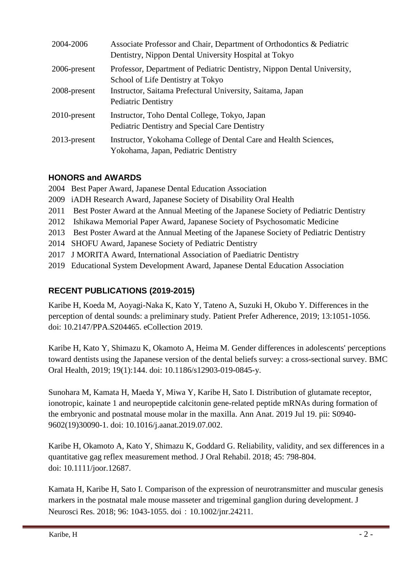| 2004-2006       | Associate Professor and Chair, Department of Orthodontics & Pediatric<br>Dentistry, Nippon Dental University Hospital at Tokyo |
|-----------------|--------------------------------------------------------------------------------------------------------------------------------|
| 2006-present    | Professor, Department of Pediatric Dentistry, Nippon Dental University,<br>School of Life Dentistry at Tokyo                   |
| 2008-present    | Instructor, Saitama Prefectural University, Saitama, Japan<br><b>Pediatric Dentistry</b>                                       |
| $2010$ -present | Instructor, Toho Dental College, Tokyo, Japan<br>Pediatric Dentistry and Special Care Dentistry                                |
| $2013$ -present | Instructor, Yokohama College of Dental Care and Health Sciences,<br>Yokohama, Japan, Pediatric Dentistry                       |

# **HONORS and AWARDS**

2004 Best Paper Award, Japanese Dental Education Association

- 2009 iADH Research Award, Japanese Society of Disability Oral Health
- 2011 Best Poster Award at the Annual Meeting of the Japanese Society of Pediatric Dentistry
- 2012 Ishikawa Memorial Paper Award, Japanese Society of Psychosomatic Medicine
- 2013 Best Poster Award at the Annual Meeting of the Japanese Society of Pediatric Dentistry
- 2014 SHOFU Award, Japanese Society of Pediatric Dentistry
- 2017 J MORITA Award, International Association of Paediatric Dentistry
- 2019 Educational System Development Award, Japanese Dental Education Association

# **RECENT PUBLICATIONS (2019-2015)**

Karibe H, Koeda M, Aoyagi-Naka K, Kato Y, Tateno A, Suzuki H, Okubo Y. Differences in the perception of dental sounds: a preliminary study. Patient Prefer Adherence, 2019; 13:1051-1056. doi: 10.2147/PPA.S204465. eCollection 2019.

Karibe H, Kato Y, Shimazu K, Okamoto A, Heima M. Gender differences in adolescents' perceptions toward dentists using the Japanese version of the dental beliefs survey: a cross-sectional survey. BMC Oral Health, 2019; 19(1):144. doi: 10.1186/s12903-019-0845-y.

Sunohara M, Kamata H, Maeda Y, Miwa Y, Karibe H, Sato I. Distribution of glutamate receptor, ionotropic, kainate 1 and neuropeptide calcitonin gene-related peptide mRNAs during formation of the embryonic and postnatal mouse molar in the maxilla. Ann Anat. 2019 Jul 19. pii: S0940- 9602(19)30090-1. doi: 10.1016/j.aanat.2019.07.002.

Karibe H, Okamoto A, Kato Y, Shimazu K, Goddard G. Reliability, validity, and sex differences in a quantitative gag reflex measurement method. J Oral Rehabil. 2018; 45: 798-804. doi: 10.1111/joor.12687.

Kamata H, Karibe H, Sato I. Comparison of the expression of neurotransmitter and muscular genesis markers in the postnatal male mouse masseter and trigeminal ganglion during development. J Neurosci Res. 2018; 96: 1043-1055. doi: 10.1002/jnr.24211.